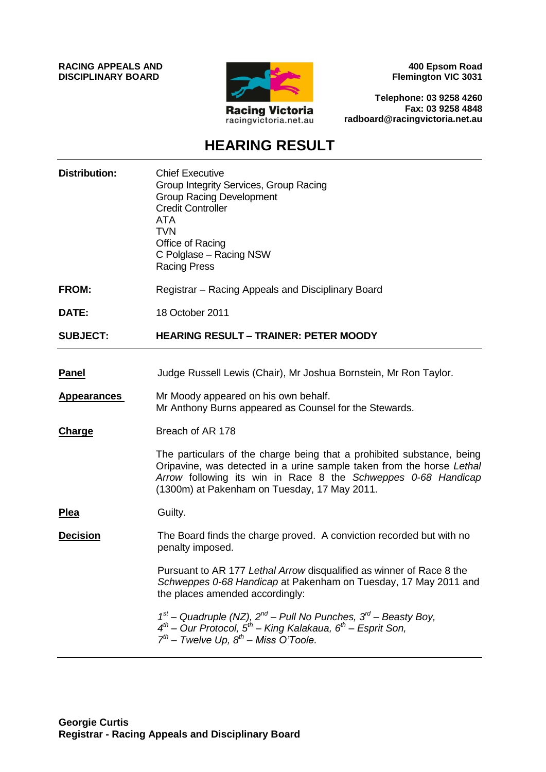**RACING APPEALS AND DISCIPLINARY BOARD**



**400 Epsom Road Flemington VIC 3031**

**Telephone: 03 9258 4260 Fax: 03 9258 4848 radboard@racingvictoria.net.au**

## **HEARING RESULT**

| <b>Distribution:</b> | <b>Chief Executive</b><br>Group Integrity Services, Group Racing<br><b>Group Racing Development</b><br><b>Credit Controller</b><br><b>ATA</b><br><b>TVN</b><br>Office of Racing<br>C Polglase - Racing NSW<br><b>Racing Press</b>                                |
|----------------------|------------------------------------------------------------------------------------------------------------------------------------------------------------------------------------------------------------------------------------------------------------------|
| <b>FROM:</b>         | Registrar – Racing Appeals and Disciplinary Board                                                                                                                                                                                                                |
| DATE:                | 18 October 2011                                                                                                                                                                                                                                                  |
| <b>SUBJECT:</b>      | <b>HEARING RESULT - TRAINER: PETER MOODY</b>                                                                                                                                                                                                                     |
|                      |                                                                                                                                                                                                                                                                  |
| <b>Panel</b>         | Judge Russell Lewis (Chair), Mr Joshua Bornstein, Mr Ron Taylor.                                                                                                                                                                                                 |
| <b>Appearances</b>   | Mr Moody appeared on his own behalf.<br>Mr Anthony Burns appeared as Counsel for the Stewards.                                                                                                                                                                   |
| Charge               | Breach of AR 178                                                                                                                                                                                                                                                 |
|                      | The particulars of the charge being that a prohibited substance, being<br>Oripavine, was detected in a urine sample taken from the horse Lethal<br>Arrow following its win in Race 8 the Schweppes 0-68 Handicap<br>(1300m) at Pakenham on Tuesday, 17 May 2011. |
| <u>Plea</u>          | Guilty.                                                                                                                                                                                                                                                          |
| <b>Decision</b>      | The Board finds the charge proved. A conviction recorded but with no<br>penalty imposed.                                                                                                                                                                         |
|                      | Pursuant to AR 177 Lethal Arrow disqualified as winner of Race 8 the<br>Schweppes 0-68 Handicap at Pakenham on Tuesday, 17 May 2011 and<br>the places amended accordingly:                                                                                       |
|                      | $1st$ – Quadruple (NZ), $2nd$ – Pull No Punches, $3rd$ – Beasty Boy,<br>4 <sup>th</sup> – Our Protocol, 5 <sup>th</sup> – King Kalakaua, 6 <sup>th</sup> – Esprit Son,<br>$7^{th}$ – Twelve Up, $8^{th}$ – Miss O'Toole.                                         |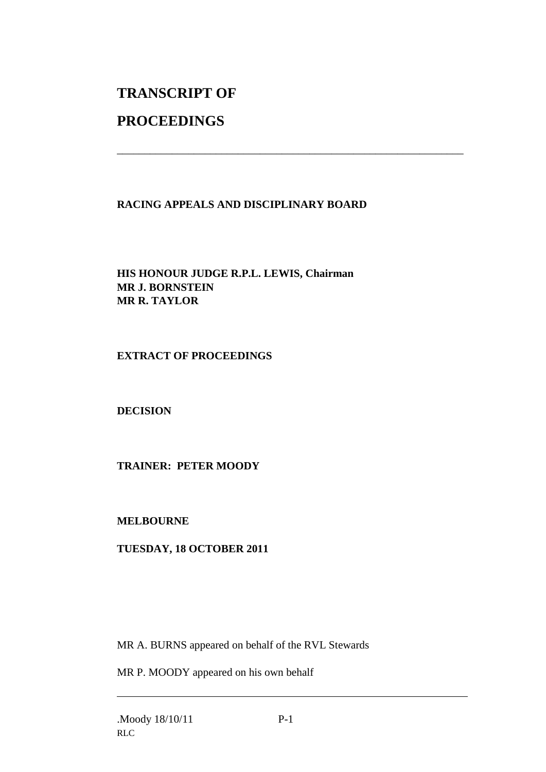# **TRANSCRIPT OF**

## **PROCEEDINGS**

### **RACING APPEALS AND DISCIPLINARY BOARD**

\_\_\_\_\_\_\_\_\_\_\_\_\_\_\_\_\_\_\_\_\_\_\_\_\_\_\_\_\_\_\_\_\_\_\_\_\_\_\_\_\_\_\_\_\_\_\_\_\_\_\_\_\_\_\_\_\_\_\_\_\_\_\_

#### **HIS HONOUR JUDGE R.P.L. LEWIS, Chairman MR J. BORNSTEIN MR R. TAYLOR**

#### **EXTRACT OF PROCEEDINGS**

#### **DECISION**

#### **TRAINER: PETER MOODY**

#### **MELBOURNE**

#### **TUESDAY, 18 OCTOBER 2011**

MR A. BURNS appeared on behalf of the RVL Stewards

MR P. MOODY appeared on his own behalf